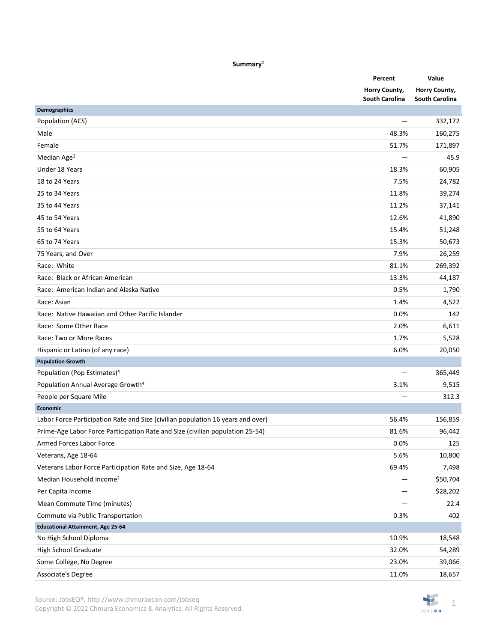| Summary <sup>1</sup> |  |
|----------------------|--|
|----------------------|--|

|                                                                                 | Percent                                | Value                                  |
|---------------------------------------------------------------------------------|----------------------------------------|----------------------------------------|
|                                                                                 | Horry County,<br><b>South Carolina</b> | Horry County,<br><b>South Carolina</b> |
| <b>Demographics</b>                                                             |                                        |                                        |
| Population (ACS)                                                                | —                                      | 332,172                                |
| Male                                                                            | 48.3%                                  | 160,275                                |
| Female                                                                          | 51.7%                                  | 171,897                                |
| Median Age <sup>2</sup>                                                         |                                        | 45.9                                   |
| Under 18 Years                                                                  | 18.3%                                  | 60,905                                 |
| 18 to 24 Years                                                                  | 7.5%                                   | 24,782                                 |
| 25 to 34 Years                                                                  | 11.8%                                  | 39,274                                 |
| 35 to 44 Years                                                                  | 11.2%                                  | 37,141                                 |
| 45 to 54 Years                                                                  | 12.6%                                  | 41,890                                 |
| 55 to 64 Years                                                                  | 15.4%                                  | 51,248                                 |
| 65 to 74 Years                                                                  | 15.3%                                  | 50,673                                 |
| 75 Years, and Over                                                              | 7.9%                                   | 26,259                                 |
| Race: White                                                                     | 81.1%                                  | 269,392                                |
| Race: Black or African American                                                 | 13.3%                                  | 44,187                                 |
| Race: American Indian and Alaska Native                                         | 0.5%                                   | 1,790                                  |
| Race: Asian                                                                     | 1.4%                                   | 4,522                                  |
| Race: Native Hawaiian and Other Pacific Islander                                | 0.0%                                   | 142                                    |
| Race: Some Other Race                                                           | 2.0%                                   | 6,611                                  |
| Race: Two or More Races                                                         | 1.7%                                   | 5,528                                  |
| Hispanic or Latino (of any race)                                                | 6.0%                                   | 20,050                                 |
| <b>Population Growth</b>                                                        |                                        |                                        |
| Population (Pop Estimates) <sup>4</sup>                                         |                                        | 365,449                                |
| Population Annual Average Growth <sup>4</sup>                                   | 3.1%                                   | 9,515                                  |
| People per Square Mile                                                          |                                        | 312.3                                  |
| <b>Economic</b>                                                                 |                                        |                                        |
| Labor Force Participation Rate and Size (civilian population 16 years and over) | 56.4%                                  | 156,859                                |
| Prime-Age Labor Force Participation Rate and Size (civilian population 25-54)   | 81.6%                                  | 96,442                                 |
| Armed Forces Labor Force                                                        | 0.0%                                   | 125                                    |
| Veterans, Age 18-64                                                             | 5.6%                                   | 10,800                                 |
| Veterans Labor Force Participation Rate and Size, Age 18-64                     | 69.4%                                  | 7,498                                  |
| Median Household Income <sup>2</sup>                                            |                                        | \$50,704                               |
| Per Capita Income                                                               |                                        | \$28,202                               |
| Mean Commute Time (minutes)                                                     |                                        | 22.4                                   |
| Commute via Public Transportation                                               | 0.3%                                   | 402                                    |
| <b>Educational Attainment, Age 25-64</b>                                        |                                        |                                        |
| No High School Diploma                                                          | 10.9%                                  | 18,548                                 |
| <b>High School Graduate</b>                                                     | 32.0%                                  | 54,289                                 |
| Some College, No Degree                                                         | 23.0%                                  | 39,066                                 |
| Associate's Degree                                                              | 11.0%                                  | 18,657                                 |